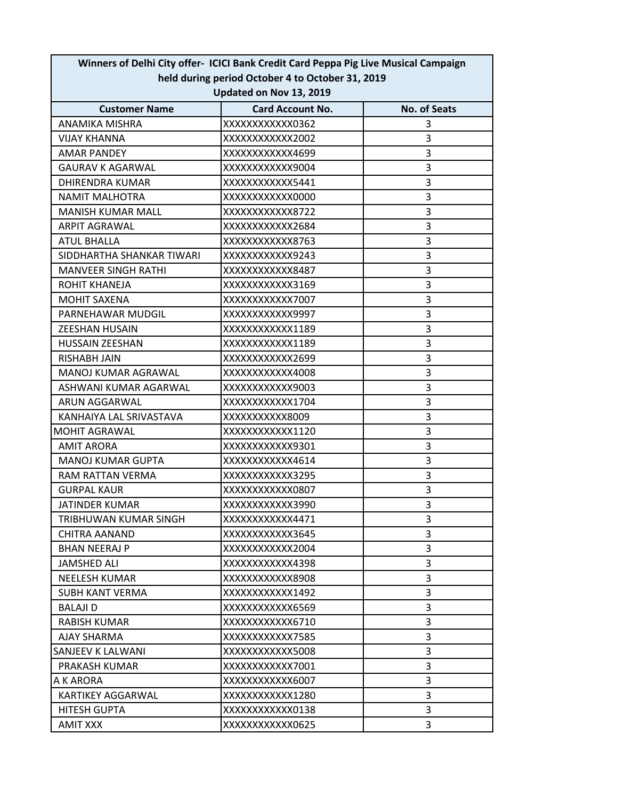| Winners of Delhi City offer- ICICI Bank Credit Card Peppa Pig Live Musical Campaign |                         |                     |  |  |
|-------------------------------------------------------------------------------------|-------------------------|---------------------|--|--|
| held during period October 4 to October 31, 2019                                    |                         |                     |  |  |
| Updated on Nov 13, 2019                                                             |                         |                     |  |  |
| <b>Customer Name</b>                                                                | <b>Card Account No.</b> | <b>No. of Seats</b> |  |  |
| <b>ANAMIKA MISHRA</b>                                                               | XXXXXXXXXXXX0362        | 3                   |  |  |
| <b>VIJAY KHANNA</b>                                                                 | XXXXXXXXXXXX2002        | 3                   |  |  |
| AMAR PANDEY                                                                         | XXXXXXXXXXX4699         | 3                   |  |  |
| <b>GAURAV K AGARWAL</b>                                                             | XXXXXXXXXXXX9004        | 3                   |  |  |
| <b>DHIRENDRA KUMAR</b>                                                              | XXXXXXXXXXXX5441        | 3                   |  |  |
| <b>NAMIT MALHOTRA</b>                                                               | XXXXXXXXXXXX0000        | 3                   |  |  |
| <b>MANISH KUMAR MALL</b>                                                            | XXXXXXXXXXXX8722        | 3                   |  |  |
| <b>ARPIT AGRAWAL</b>                                                                | XXXXXXXXXXXX2684        | 3                   |  |  |
| <b>ATUL BHALLA</b>                                                                  | XXXXXXXXXXXX8763        | 3                   |  |  |
| SIDDHARTHA SHANKAR TIWARI                                                           | XXXXXXXXXXXX9243        | 3                   |  |  |
| <b>MANVEER SINGH RATHI</b>                                                          | XXXXXXXXXXXX8487        | 3                   |  |  |
| ROHIT KHANEJA                                                                       | XXXXXXXXXXXX3169        | 3                   |  |  |
| <b>MOHIT SAXENA</b>                                                                 | XXXXXXXXXXXX7007        | 3                   |  |  |
| PARNEHAWAR MUDGIL                                                                   | XXXXXXXXXXXX9997        | 3                   |  |  |
| <b>ZEESHAN HUSAIN</b>                                                               | XXXXXXXXXXX1189         | 3                   |  |  |
| <b>HUSSAIN ZEESHAN</b>                                                              | XXXXXXXXXXX1189         | 3                   |  |  |
| <b>RISHABH JAIN</b>                                                                 | XXXXXXXXXXX2699         | 3                   |  |  |
| MANOJ KUMAR AGRAWAL                                                                 | XXXXXXXXXXX4008         | 3                   |  |  |
| ASHWANI KUMAR AGARWAL                                                               | XXXXXXXXXXXX9003        | 3                   |  |  |
| ARUN AGGARWAL                                                                       | XXXXXXXXXXXX1704        | 3                   |  |  |
| KANHAIYA LAL SRIVASTAVA                                                             | XXXXXXXXXXX8009         | 3                   |  |  |
| <b>MOHIT AGRAWAL</b>                                                                | XXXXXXXXXXX1120         | 3                   |  |  |
| <b>AMIT ARORA</b>                                                                   | XXXXXXXXXXXX9301        | 3                   |  |  |
| <b>MANOJ KUMAR GUPTA</b>                                                            | XXXXXXXXXXX4614         | 3                   |  |  |
| RAM RATTAN VERMA                                                                    | XXXXXXXXXXXX3295        | 3                   |  |  |
| <b>GURPAL KAUR</b>                                                                  | XXXXXXXXXXXX0807        | 3                   |  |  |
| JATINDER KUMAR                                                                      | XXXXXXXXXXX3990         | 3                   |  |  |
| TRIBHUWAN KUMAR SINGH                                                               | XXXXXXXXXXX4471         | 3                   |  |  |
| CHITRA AANAND                                                                       | XXXXXXXXXXXX3645        | 3                   |  |  |
| <b>BHAN NEERAJ P</b>                                                                | XXXXXXXXXXXX2004        | 3                   |  |  |
| <b>JAMSHED ALI</b>                                                                  | XXXXXXXXXXXX4398        | 3                   |  |  |
| <b>NEELESH KUMAR</b>                                                                | XXXXXXXXXXXX8908        | 3                   |  |  |
| <b>SUBH KANT VERMA</b>                                                              | XXXXXXXXXXXX1492        | 3                   |  |  |
| <b>BALAJI D</b>                                                                     | XXXXXXXXXXXX6569        | 3                   |  |  |
| <b>RABISH KUMAR</b>                                                                 | XXXXXXXXXXXX6710        | 3                   |  |  |
| AJAY SHARMA                                                                         | XXXXXXXXXXXX7585        | 3                   |  |  |
| SANJEEV K LALWANI                                                                   | XXXXXXXXXXXX5008        | 3                   |  |  |
| PRAKASH KUMAR                                                                       | XXXXXXXXXXX7001         | 3                   |  |  |
| A K ARORA                                                                           | XXXXXXXXXXXX6007        | 3                   |  |  |
| <b>KARTIKEY AGGARWAL</b>                                                            | XXXXXXXXXXXX1280        | 3                   |  |  |
| <b>HITESH GUPTA</b>                                                                 | XXXXXXXXXXXX0138        | 3                   |  |  |
| <b>AMIT XXX</b>                                                                     | XXXXXXXXXXXX0625        | 3                   |  |  |